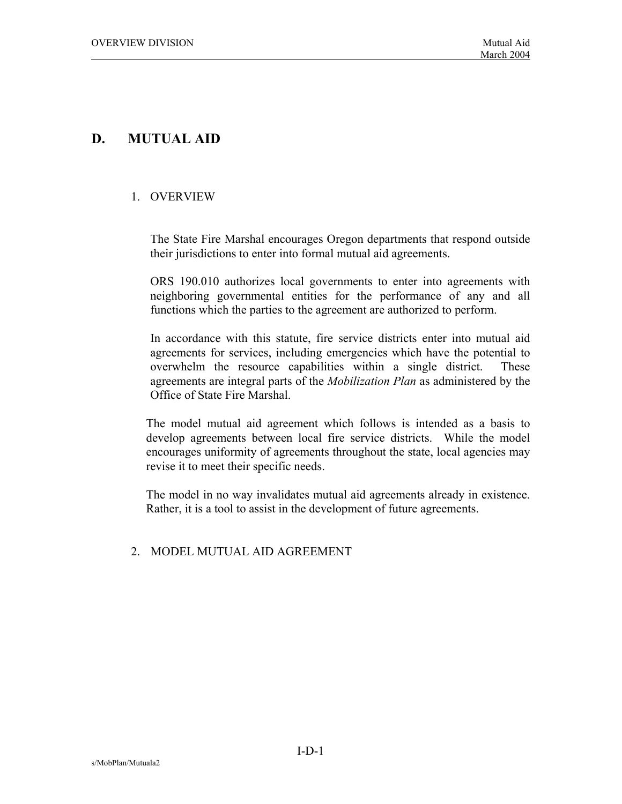# **D. MUTUAL AID**

### 1. OVERVIEW

 The State Fire Marshal encourages Oregon departments that respond outside their jurisdictions to enter into formal mutual aid agreements.

 ORS 190.010 authorizes local governments to enter into agreements with neighboring governmental entities for the performance of any and all functions which the parties to the agreement are authorized to perform.

 In accordance with this statute, fire service districts enter into mutual aid agreements for services, including emergencies which have the potential to overwhelm the resource capabilities within a single district. These agreements are integral parts of the *Mobilization Plan* as administered by the Office of State Fire Marshal.

 The model mutual aid agreement which follows is intended as a basis to develop agreements between local fire service districts. While the model encourages uniformity of agreements throughout the state, local agencies may revise it to meet their specific needs.

 The model in no way invalidates mutual aid agreements already in existence. Rather, it is a tool to assist in the development of future agreements.

### 2. MODEL MUTUAL AID AGREEMENT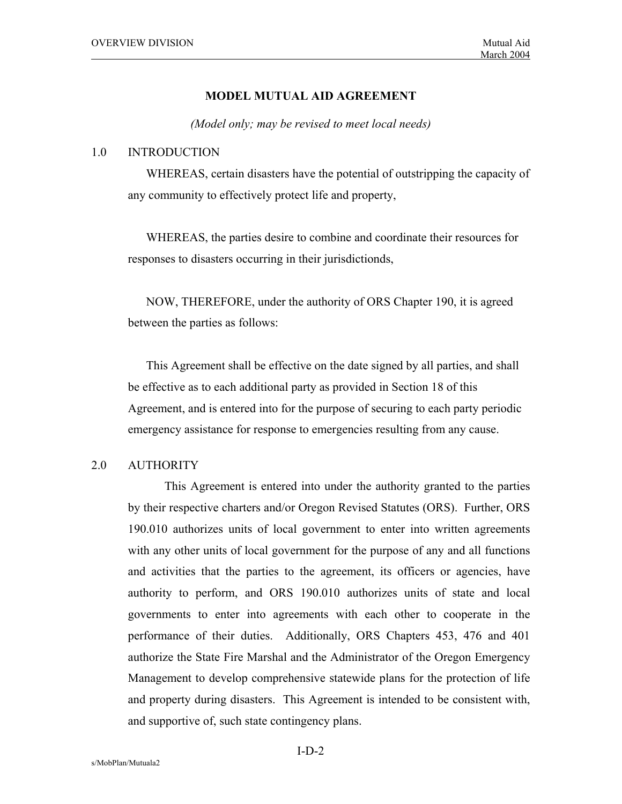#### **MODEL MUTUAL AID AGREEMENT**

*(Model only; may be revised to meet local needs)* 

#### 1.0 INTRODUCTION

WHEREAS, certain disasters have the potential of outstripping the capacity of any community to effectively protect life and property,

WHEREAS, the parties desire to combine and coordinate their resources for responses to disasters occurring in their jurisdictionds,

NOW, THEREFORE, under the authority of ORS Chapter 190, it is agreed between the parties as follows:

This Agreement shall be effective on the date signed by all parties, and shall be effective as to each additional party as provided in Section 18 of this Agreement, and is entered into for the purpose of securing to each party periodic emergency assistance for response to emergencies resulting from any cause.

### 2.0 AUTHORITY

 This Agreement is entered into under the authority granted to the parties by their respective charters and/or Oregon Revised Statutes (ORS). Further, ORS 190.010 authorizes units of local government to enter into written agreements with any other units of local government for the purpose of any and all functions and activities that the parties to the agreement, its officers or agencies, have authority to perform, and ORS 190.010 authorizes units of state and local governments to enter into agreements with each other to cooperate in the performance of their duties. Additionally, ORS Chapters 453, 476 and 401 authorize the State Fire Marshal and the Administrator of the Oregon Emergency Management to develop comprehensive statewide plans for the protection of life and property during disasters. This Agreement is intended to be consistent with, and supportive of, such state contingency plans.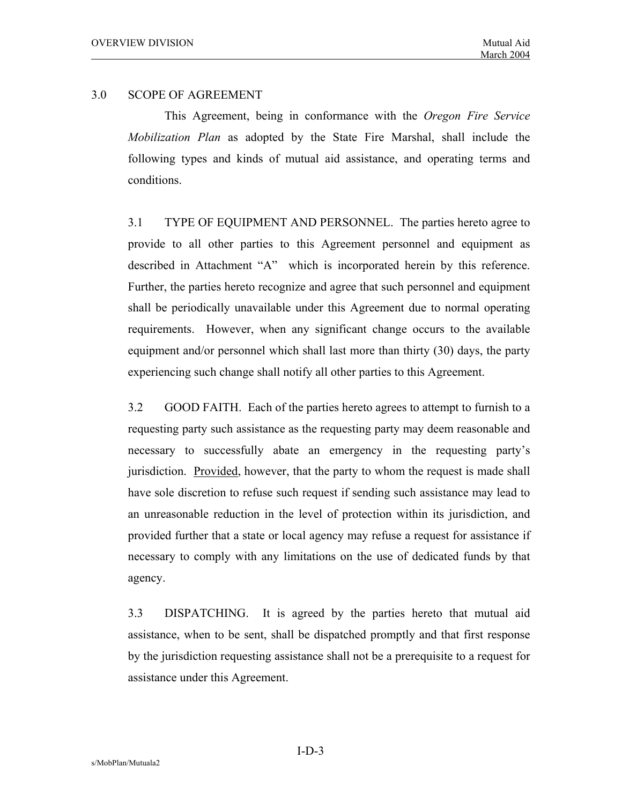### 3.0 SCOPE OF AGREEMENT

 This Agreement, being in conformance with the *Oregon Fire Service Mobilization Plan* as adopted by the State Fire Marshal, shall include the following types and kinds of mutual aid assistance, and operating terms and conditions.

 3.1 TYPE OF EQUIPMENT AND PERSONNEL. The parties hereto agree to provide to all other parties to this Agreement personnel and equipment as described in Attachment "A" which is incorporated herein by this reference. Further, the parties hereto recognize and agree that such personnel and equipment shall be periodically unavailable under this Agreement due to normal operating requirements. However, when any significant change occurs to the available equipment and/or personnel which shall last more than thirty (30) days, the party experiencing such change shall notify all other parties to this Agreement.

 3.2 GOOD FAITH. Each of the parties hereto agrees to attempt to furnish to a requesting party such assistance as the requesting party may deem reasonable and necessary to successfully abate an emergency in the requesting party's jurisdiction. Provided, however, that the party to whom the request is made shall have sole discretion to refuse such request if sending such assistance may lead to an unreasonable reduction in the level of protection within its jurisdiction, and provided further that a state or local agency may refuse a request for assistance if necessary to comply with any limitations on the use of dedicated funds by that agency.

 3.3 DISPATCHING. It is agreed by the parties hereto that mutual aid assistance, when to be sent, shall be dispatched promptly and that first response by the jurisdiction requesting assistance shall not be a prerequisite to a request for assistance under this Agreement.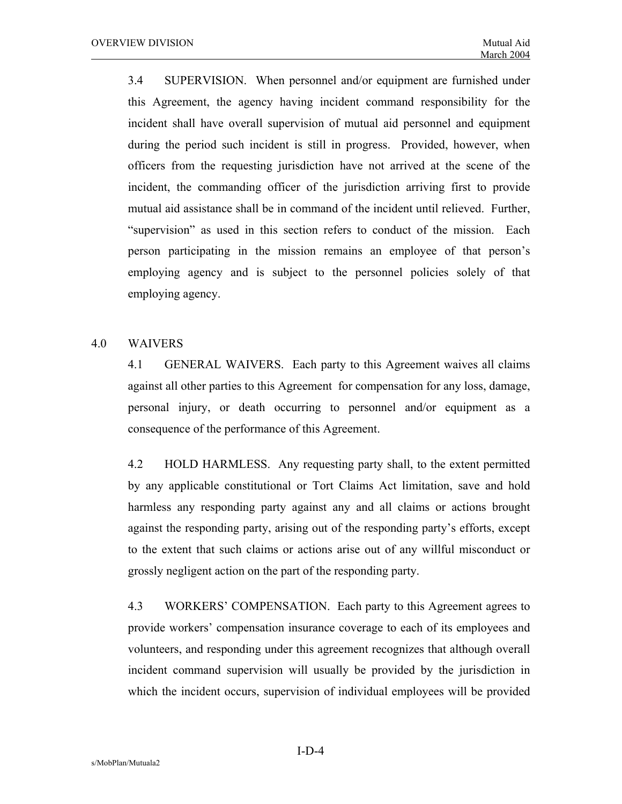3.4 SUPERVISION. When personnel and/or equipment are furnished under this Agreement, the agency having incident command responsibility for the incident shall have overall supervision of mutual aid personnel and equipment during the period such incident is still in progress. Provided, however, when officers from the requesting jurisdiction have not arrived at the scene of the incident, the commanding officer of the jurisdiction arriving first to provide mutual aid assistance shall be in command of the incident until relieved. Further, "supervision" as used in this section refers to conduct of the mission. Each person participating in the mission remains an employee of that person's employing agency and is subject to the personnel policies solely of that employing agency.

#### 4.0 WAIVERS

 4.1 GENERAL WAIVERS. Each party to this Agreement waives all claims against all other parties to this Agreement for compensation for any loss, damage, personal injury, or death occurring to personnel and/or equipment as a consequence of the performance of this Agreement.

 4.2 HOLD HARMLESS. Any requesting party shall, to the extent permitted by any applicable constitutional or Tort Claims Act limitation, save and hold harmless any responding party against any and all claims or actions brought against the responding party, arising out of the responding party's efforts, except to the extent that such claims or actions arise out of any willful misconduct or grossly negligent action on the part of the responding party.

 4.3 WORKERS' COMPENSATION. Each party to this Agreement agrees to provide workers' compensation insurance coverage to each of its employees and volunteers, and responding under this agreement recognizes that although overall incident command supervision will usually be provided by the jurisdiction in which the incident occurs, supervision of individual employees will be provided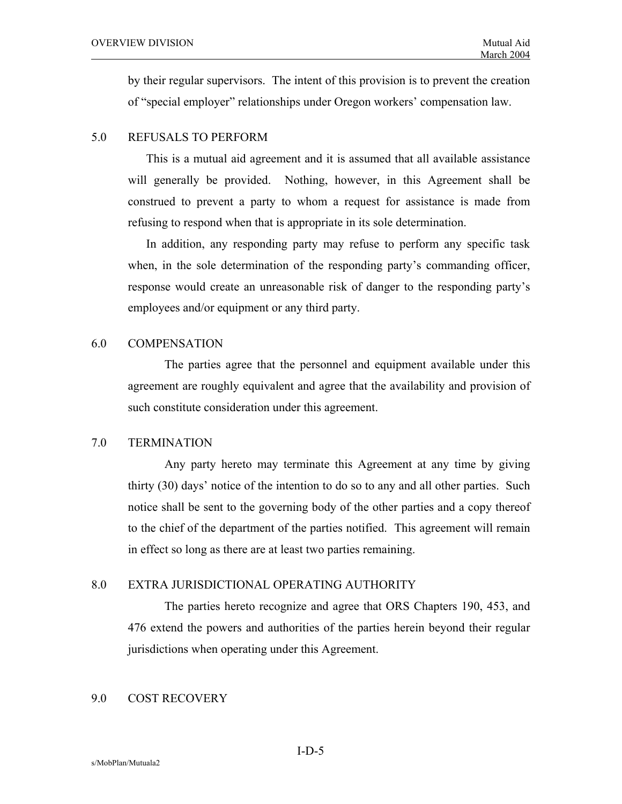by their regular supervisors. The intent of this provision is to prevent the creation of "special employer" relationships under Oregon workers' compensation law.

#### 5.0 REFUSALS TO PERFORM

This is a mutual aid agreement and it is assumed that all available assistance will generally be provided. Nothing, however, in this Agreement shall be construed to prevent a party to whom a request for assistance is made from refusing to respond when that is appropriate in its sole determination.

In addition, any responding party may refuse to perform any specific task when, in the sole determination of the responding party's commanding officer, response would create an unreasonable risk of danger to the responding party's employees and/or equipment or any third party.

#### 6.0 COMPENSATION

The parties agree that the personnel and equipment available under this agreement are roughly equivalent and agree that the availability and provision of such constitute consideration under this agreement.

### 7.0 TERMINATION

 Any party hereto may terminate this Agreement at any time by giving thirty (30) days' notice of the intention to do so to any and all other parties. Such notice shall be sent to the governing body of the other parties and a copy thereof to the chief of the department of the parties notified. This agreement will remain in effect so long as there are at least two parties remaining.

#### 8.0 EXTRA JURISDICTIONAL OPERATING AUTHORITY

 The parties hereto recognize and agree that ORS Chapters 190, 453, and 476 extend the powers and authorities of the parties herein beyond their regular jurisdictions when operating under this Agreement.

### 9.0 COST RECOVERY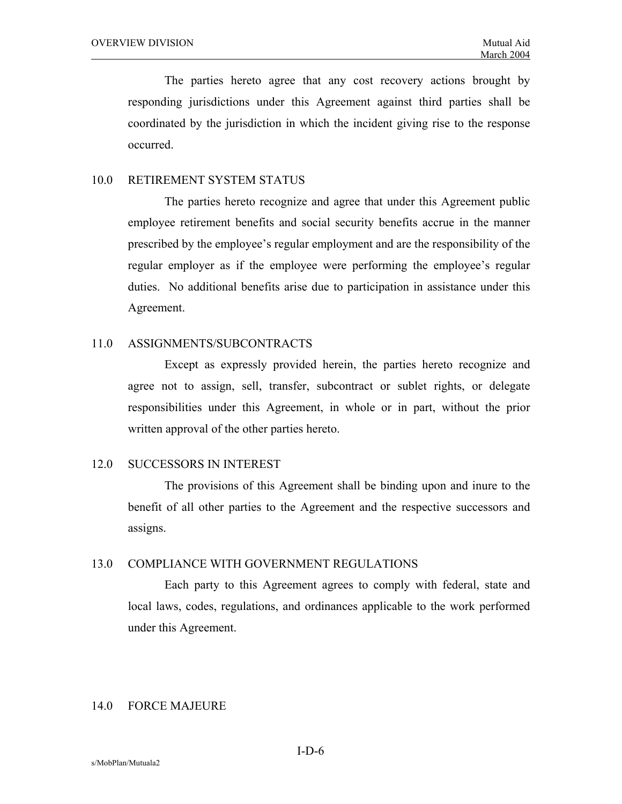The parties hereto agree that any cost recovery actions brought by responding jurisdictions under this Agreement against third parties shall be coordinated by the jurisdiction in which the incident giving rise to the response occurred.

### 10.0 RETIREMENT SYSTEM STATUS

 The parties hereto recognize and agree that under this Agreement public employee retirement benefits and social security benefits accrue in the manner prescribed by the employee's regular employment and are the responsibility of the regular employer as if the employee were performing the employee's regular duties. No additional benefits arise due to participation in assistance under this Agreement.

#### 11.0 ASSIGNMENTS/SUBCONTRACTS

 Except as expressly provided herein, the parties hereto recognize and agree not to assign, sell, transfer, subcontract or sublet rights, or delegate responsibilities under this Agreement, in whole or in part, without the prior written approval of the other parties hereto.

#### 12.0 SUCCESSORS IN INTEREST

 The provisions of this Agreement shall be binding upon and inure to the benefit of all other parties to the Agreement and the respective successors and assigns.

### 13.0 COMPLIANCE WITH GOVERNMENT REGULATIONS

 Each party to this Agreement agrees to comply with federal, state and local laws, codes, regulations, and ordinances applicable to the work performed under this Agreement.

#### 14.0 FORCE MAJEURE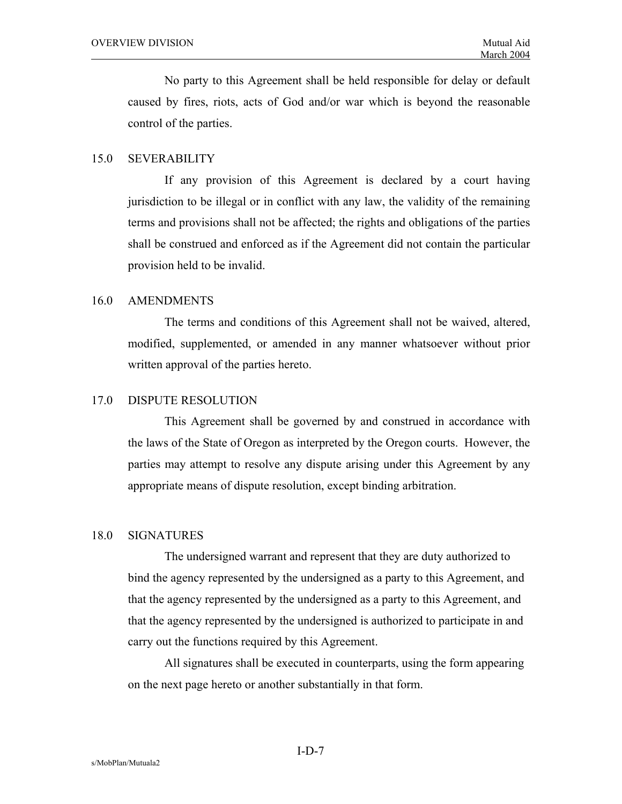No party to this Agreement shall be held responsible for delay or default caused by fires, riots, acts of God and/or war which is beyond the reasonable control of the parties.

### 15.0 SEVERABILITY

 If any provision of this Agreement is declared by a court having jurisdiction to be illegal or in conflict with any law, the validity of the remaining terms and provisions shall not be affected; the rights and obligations of the parties shall be construed and enforced as if the Agreement did not contain the particular provision held to be invalid.

#### 16.0 AMENDMENTS

 The terms and conditions of this Agreement shall not be waived, altered, modified, supplemented, or amended in any manner whatsoever without prior written approval of the parties hereto.

#### 17.0 DISPUTE RESOLUTION

 This Agreement shall be governed by and construed in accordance with the laws of the State of Oregon as interpreted by the Oregon courts. However, the parties may attempt to resolve any dispute arising under this Agreement by any appropriate means of dispute resolution, except binding arbitration.

#### 18.0 SIGNATURES

The undersigned warrant and represent that they are duty authorized to bind the agency represented by the undersigned as a party to this Agreement, and that the agency represented by the undersigned as a party to this Agreement, and that the agency represented by the undersigned is authorized to participate in and carry out the functions required by this Agreement.

All signatures shall be executed in counterparts, using the form appearing on the next page hereto or another substantially in that form.